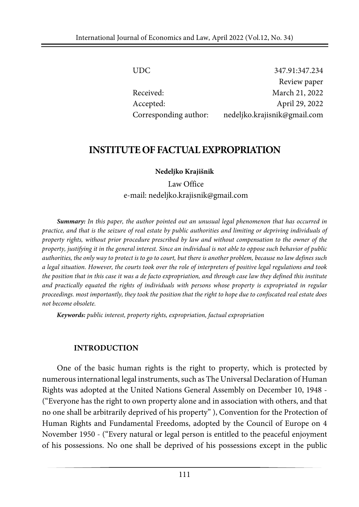| UDC.                  | 347.91:347.234               |
|-----------------------|------------------------------|
|                       | Review paper                 |
| Received:             | March 21, 2022               |
| Accepted:             | April 29, 2022               |
| Corresponding author: | nedeljko.krajisnik@gmail.com |

### **INSTITUTEOF FACTUALEXPROPRIATION**

#### **Nedeljko Krajišnik**

Law Office e-mail: nedeljko.krajisnik@gmail.com

*Summary: In this paper, the author pointed out an unusual legal phenomenon that has occurred in* practice, and that is the seizure of real estate by public authorities and limiting or depriving individuals of *property rights, without prior procedure prescribed by law and without compensation to the owner of the* property, justifying it in the general interest. Since an individual is not able to oppose such behavior of public authorities, the only way to protect is to go to court, but there is another problem, because no law defines such a legal situation. However, the courts took over the role of interpreters of positive legal regulations and took the position that in this case it was a de facto expropriation, and through case law they defined this institute *and practically equated the rights of individuals with persons whose property is expropriated in regular* proceedings. most importantly, they took the position that the right to hope due to confiscated real estate does *not become obsolete.*

*Keywords: public interest, property rights, expropriation, factual expropriation*

#### **INTRODUCTION**

One of the basic human rights is the right to property, which is protected by numerous international legal instruments, such as The Universal Declaration of Human Rights was adopted at the United Nations General Assembly on December 10, 1948 - ("Everyone has the right to own property alone and in association with others, and that no one shall be arbitrarily deprived of his property" ), Convention for the Protection of Human Rights and Fundamental Freedoms, adopted by the Council of Europe on 4 November 1950 - ("Every natural or legal person is entitled to the peaceful enjoyment of his possessions. No one shall be deprived of his possessions except in the public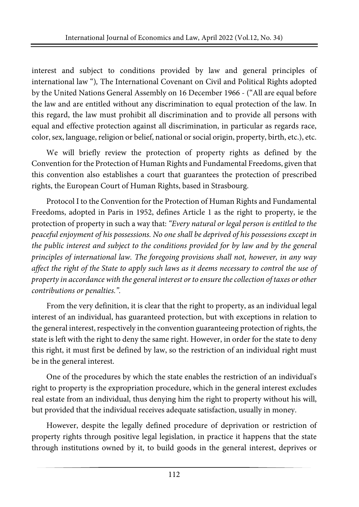interest and subject to conditions provided by law and general principles of international law ")*,* The International Covenant on Civil and Political Rights adopted by the United Nations General Assembly on 16 December 1966 - ("All are equal before the law and are entitled without any discrimination to equal protection of the law. In this regard, the law must prohibit all discrimination and to provide all persons with equal and effective protection against all discrimination, in particular as regards race, color, sex, language, religion or belief, national orsocial origin, property, birth, etc.), etc.

We will briefly review the protection of property rights as defined by the Convention forthe Protection of Human Rights and Fundamental Freedoms, given that this convention also establishes a court that guarantees the protection of prescribed rights, the European Court of Human Rights, based in Strasbourg.

Protocol I to the Convention for the Protection of Human Rights and Fundamental Freedoms, adopted in Paris in 1952, defines Article 1 as the right to property, ie the protection of property in such a way that: *"Every natural or legal person is entitled to the peaceful enjoyment of his possessions. No one shall be deprived of his possessions except in the public interest and subject to the conditions provided for by law and by the general principles of international law. The foregoing provisions shall not, however, in any way* affect the right of the State to apply such laws as it deems necessary to control the use of *property in accordance with the general interest orto ensure the collection of taxes or other contributions or penalties.".*

From the very definition, it is clear that the right to property, as an individual legal interest of an individual, has guaranteed protection, but with exceptions in relation to the general interest, respectively in the convention guaranteeing protection of rights, the state is left with the right to deny the same right. However, in order for the state to deny this right, it must first be defined by law, so the restriction of an individual right must be in the general interest.

One of the procedures by which the state enables the restriction of an individual's right to property is the expropriation procedure, which in the general interest excludes real estate from an individual, thus denying him the right to property without his will, but provided that the individual receives adequate satisfaction, usually in money.

However, despite the legally defined procedure of deprivation or restriction of property rights through positive legal legislation, in practice it happens that the state through institutions owned by it, to build goods in the general interest, deprives or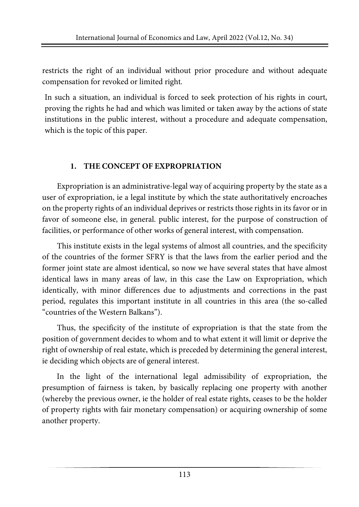restricts the right of an individual without prior procedure and without adequate compensation for revoked or limited right.

In such a situation, an individual is forced to seek protection of his rights in court, proving the rights he had and which was limited or taken away by the actions of state institutions in the public interest, without a procedure and adequate compensation, which is the topic of this paper.

### **1. THE CONCEPT OF EXPROPRIATION**

Expropriation is an administrative-legal way of acquiring property by the state as a user of expropriation, ie a legal institute by which the state authoritatively encroaches on the property rights of an individual deprives or restricts those rights in its favor or in favor of someone else, in general. public interest, for the purpose of construction of facilities, or performance of other works of general interest, with compensation.

This institute exists in the legal systems of almost all countries, and the specificity of the countries of the former SFRY is that the laws from the earlier period and the former joint state are almost identical, so now we have several states that have almost identical laws in many areas of law, in this case the Law on Expropriation, which identically, with minor differences due to adjustments and corrections in the past period, regulates this important institute in all countries in this area (the so-called "countries of the Western Balkans").

Thus, the specificity of the institute of expropriation is that the state from the position of government decides to whom and to what extent it will limit or deprive the right of ownership of real estate, which is preceded by determining the general interest, ie deciding which objects are of general interest.

In the light of the international legal admissibility of expropriation, the presumption of fairness is taken, by basically replacing one property with another (whereby the previous owner, ie the holder of real estate rights, ceases to be the holder of property rights with fair monetary compensation) or acquiring ownership of some another property.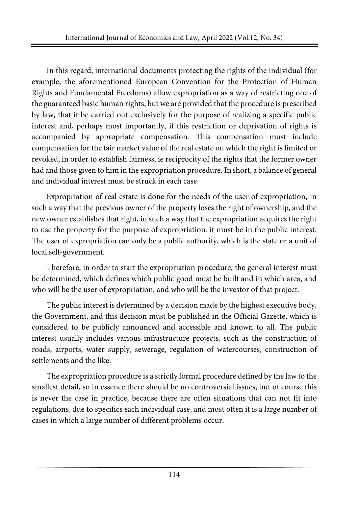In this regard, international documents protecting the rights of the individual (for example, the aforementioned European Convention for the Protection of Human Rights and Fundamental Freedoms) allow expropriation as a way of restricting one of the guaranteed basic human rights, but we are provided that the procedure is prescribed by law, that it be carried out exclusively for the purpose of realizing a specific public interest and, perhaps most importantly, if this restriction or deprivation of rights is accompanied by appropriate compensation. This compensation must include compensation for the fair market value of the real estate on which the right is limited or revoked, in order to establish fairness, ie reciprocity of the rights that the former owner had and those given to him in the expropriation procedure. In short, a balance of general and individual interest must be struck in each case

Expropriation of real estate is done for the needs of the user of expropriation, in such a way that the previous owner of the property loses the right of ownership, and the new owner establishes that right, in such a way that the expropriation acquires the right to use the property for the purpose of expropriation. it must be in the public interest. The user of expropriation can only be a public authority, which is the state or a unit of local self-government.

Therefore, in order to start the expropriation procedure, the general interest must be determined, which defines which public good must be built and in which area, and who will be the user of expropriation, and who will be the investor of that project.

The public interest is determined by a decision made by the highest executive body, the Government, and this decision must be published in the Official Gazette, which is considered to be publicly announced and accessible and known to all. The public interest usually includes various infrastructure projects, such as the construction of roads, airports, water supply, sewerage, regulation of watercourses, construction of settlements and the like.

The expropriation procedure is a strictly formal procedure defined by the law to the smallest detail, so in essence there should be no controversial issues, but of course this is never the case in practice, because there are often situations that can not fit into regulations, due to specifics each individual case, and most often it is a large number of cases in which a large number of different problems occur.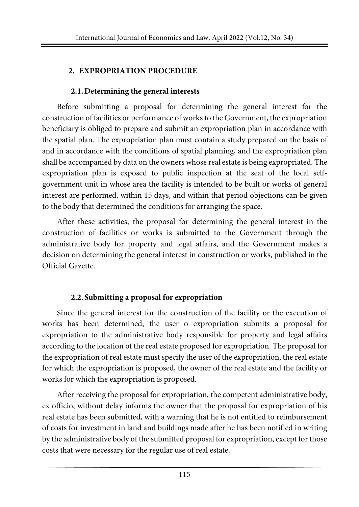### **2. EXPROPRIATION PROCEDURE**

### **2.1.Determining the general interests**

Before submitting a proposal for determining the general interest for the construction of facilities or performance of works to the Government, the expropriation beneficiary is obliged to prepare and submit an expropriation plan in accordance with the spatial plan. The expropriation plan must contain a study prepared on the basis of and in accordance with the conditions of spatial planning, and the expropriation plan shall be accompanied by data on the owners whose real estate is being expropriated. The expropriation plan is exposed to public inspection at the seat of the local selfgovernment unit in whose area the facility is intended to be built or works of general interest are performed, within 15 days, and within that period objections can be given to the body that determined the conditions for arranging the space.

After these activities, the proposal for determining the general interest in the construction of facilities or works is submitted to the Government through the administrative body for property and legal affairs, and the Government makes a decision on determining the general interest in construction or works, published in the Official Gazette.

### **2.2.Submitting a proposal for expropriation**

Since the general interest for the construction of the facility or the execution of works has been determined, the user o expropriation submits a proposal for expropriation to the administrative body responsible for property and legal affairs according to the location of the real estate proposed for expropriation. The proposal for the expropriation of real estate must specify the user of the expropriation, the real estate for which the expropriation is proposed, the owner of the real estate and the facility or works for which the expropriation is proposed.

After receiving the proposal for expropriation, the competent administrative body, ex officio, without delay informs the owner that the proposal for expropriation of his real estate has been submitted, with a warning that he is not entitled to reimbursement of costs for investment in land and buildings made after he has been notified in writing by the administrative body of the submitted proposal for expropriation, except forthose costs that were necessary for the regular use of real estate.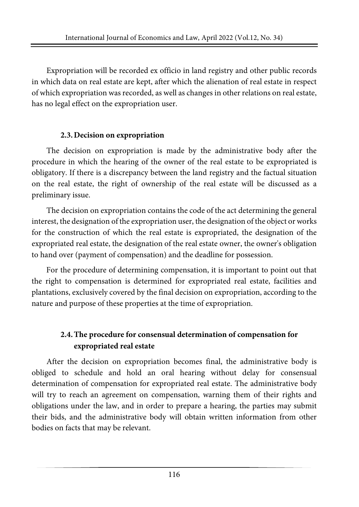Expropriation will be recorded ex officio in land registry and other public records in which data on real estate are kept, after which the alienation of real estate in respect of which expropriation was recorded, as well as changes in other relations on real estate, has no legal effect on the expropriation user.

#### **2.3.Decision on expropriation**

The decision on expropriation is made by the administrative body after the procedure in which the hearing of the owner of the real estate to be expropriated is obligatory. If there is a discrepancy between the land registry and the factual situation on the real estate, the right of ownership of the real estate will be discussed as a preliminary issue.

The decision on expropriation contains the code of the act determining the general interest, the designation of the expropriation user, the designation of the object or works for the construction of which the real estate is expropriated, the designation of the expropriated real estate, the designation of the real estate owner, the owner's obligation to hand over (payment of compensation) and the deadline for possession.

For the procedure of determining compensation, it is important to point out that the right to compensation is determined for expropriated real estate, facilities and plantations, exclusively covered by the final decision on expropriation, according to the nature and purpose of these properties at the time of expropriation.

## **2.4.The procedure for consensual determination of compensation for expropriated real estate**

After the decision on expropriation becomes final, the administrative body is obliged to schedule and hold an oral hearing without delay for consensual determination of compensation for expropriated real estate. The administrative body will try to reach an agreement on compensation, warning them of their rights and obligations under the law, and in order to prepare a hearing, the parties may submit their bids, and the administrative body will obtain written information from other bodies on facts that may be relevant.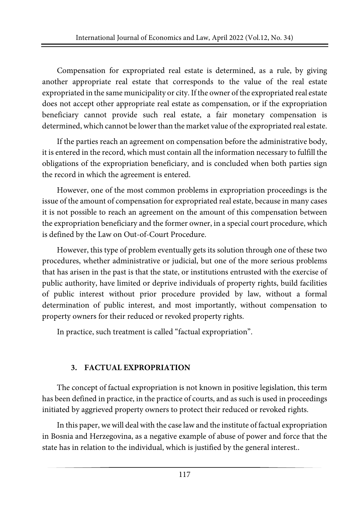Compensation for expropriated real estate is determined, as a rule, by giving another appropriate real estate that corresponds to the value of the real estate expropriated in the same municipality or city. If the owner of the expropriated real estate does not accept other appropriate real estate as compensation, or if the expropriation beneficiary cannot provide such real estate, a fair monetary compensation is determined, which cannot be lower than the market value of the expropriated real estate.

If the parties reach an agreement on compensation before the administrative body, it is entered in the record, which must contain all the information necessary to fulfill the obligations of the expropriation beneficiary, and is concluded when both parties sign the record in which the agreement is entered.

However, one of the most common problems in expropriation proceedings is the issue of the amount of compensation for expropriated real estate, because in many cases it is not possible to reach an agreement on the amount of this compensation between the expropriation beneficiary and the former owner, in a special court procedure, which is defined by the Law on Out-of-Court Procedure.

However, this type of problem eventually gets its solution through one of these two procedures, whether administrative or judicial, but one of the more serious problems that has arisen in the past is that the state, or institutions entrusted with the exercise of public authority, have limited or deprive individuals of property rights, build facilities of public interest without prior procedure provided by law, without a formal determination of public interest, and most importantly, without compensation to property owners for their reduced or revoked property rights.

In practice, such treatment is called "factual expropriation".

## **3. FACTUAL EXPROPRIATION**

The concept of factual expropriation is not known in positive legislation, this term has been defined in practice, in the practice of courts, and as such is used in proceedings initiated by aggrieved property owners to protect their reduced or revoked rights.

In this paper, we will dealwith the case law and the institute of factual expropriation in Bosnia and Herzegovina, as a negative example of abuse of power and force that the state has in relation to the individual, which is justified by the general interest..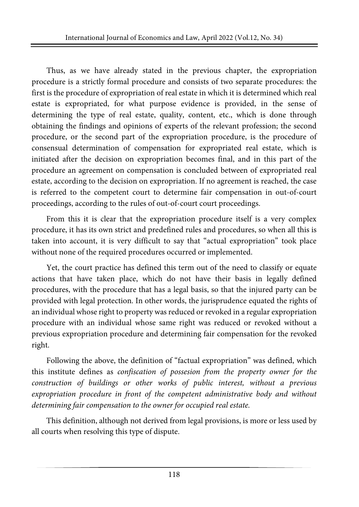Thus, as we have already stated in the previous chapter, the expropriation procedure is a strictly formal procedure and consists of two separate procedures: the first is the procedure of expropriation of real estate in which it is determined which real estate is expropriated, for what purpose evidence is provided, in the sense of determining the type of real estate, quality, content, etc., which is done through obtaining the findings and opinions of experts of the relevant profession; the second procedure, or the second part of the expropriation procedure, is the procedure of consensual determination of compensation for expropriated real estate, which is initiated after the decision on expropriation becomes final, and in this part of the procedure an agreement on compensation is concluded between of expropriated real estate, according to the decision on expropriation. If no agreement is reached, the case is referred to the competent court to determine fair compensation in out-of-court proceedings, according to the rules of out-of-court court proceedings.

From this it is clear that the expropriation procedure itself is a very complex procedure, it has its own strict and predefined rules and procedures, so when all this is taken into account, it is very difficult to say that "actual expropriation" took place without none of the required procedures occurred or implemented.

Yet, the court practice has defined this term out of the need to classify or equate actions that have taken place, which do not have their basis in legally defined procedures, with the procedure that has a legal basis, so that the injured party can be provided with legal protection. In other words, the jurisprudence equated the rights of an individual whose right to property was reduced or revoked in a regular expropriation procedure with an individual whose same right was reduced or revoked without a previous expropriation procedure and determining fair compensation for the revoked right.

Following the above, the definition of "factual expropriation" was defined, which this institute defines as *confiscation of possesion from the property owner for the construction of buildings or other works of public interest, without a previous expropriation procedure in front of the competent administrative body and without determining fair compensation to the owner for occupied real estate.*

This definition, although not derived from legal provisions, is more or less used by all courts when resolving this type of dispute.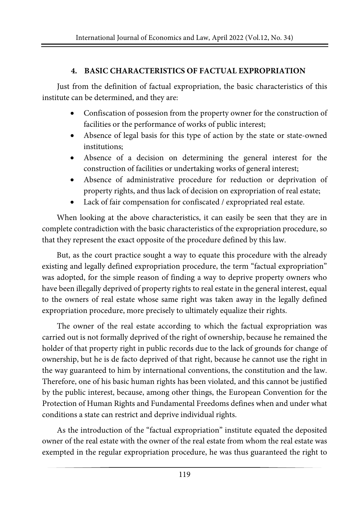### **4. BASIC CHARACTERISTICS OF FACTUAL EXPROPRIATION**

Just from the definition of factual expropriation, the basic characteristics of this institute can be determined, and they are:

- Confiscation of possesion from the property owner for the construction of facilities or the performance of works of public interest;
- Absence of legal basis for this type of action by the state or state-owned institutions;
- Absence of a decision on determining the general interest for the construction of facilities or undertaking works of general interest;
- Absence of administrative procedure for reduction or deprivation of property rights, and thus lack of decision on expropriation of real estate;
- Lack of fair compensation for confiscated / expropriated real estate.

When looking at the above characteristics, it can easily be seen that they are in complete contradiction with the basic characteristics of the expropriation procedure, so that they represent the exact opposite of the procedure defined by this law.

But, as the court practice sought a way to equate this procedure with the already existing and legally defined expropriation procedure, the term "factual expropriation" was adopted, for the simple reason of finding a way to deprive property owners who have been illegally deprived of property rights to real estate in the general interest, equal to the owners of real estate whose same right was taken away in the legally defined expropriation procedure, more precisely to ultimately equalize their rights.

The owner of the real estate according to which the factual expropriation was carried out is not formally deprived of the right of ownership, because he remained the holder of that property right in public records due to the lack of grounds for change of ownership, but he is de facto deprived of that right, because he cannot use the right in the way guaranteed to him by international conventions, the constitution and the law. Therefore, one of his basic human rights has been violated, and this cannot be justified by the public interest, because, among other things, the European Convention for the Protection of Human Rights and Fundamental Freedoms defines when and under what conditions a state can restrict and deprive individual rights.

As the introduction of the "factual expropriation" institute equated the deposited owner of the real estate with the owner of the real estate from whom the real estate was exempted in the regular expropriation procedure, he was thus guaranteed the right to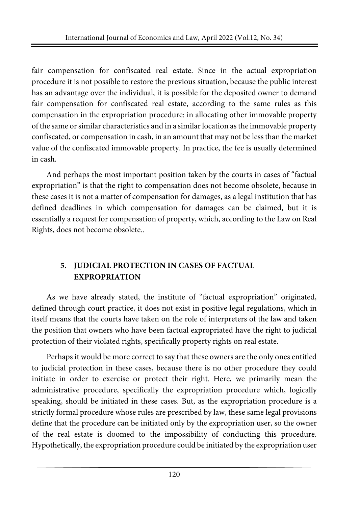fair compensation for confiscated real estate. Since in the actual expropriation procedure it is not possible to restore the previous situation, because the public interest has an advantage over the individual, it is possible for the deposited owner to demand fair compensation for confiscated real estate, according to the same rules as this compensation in the expropriation procedure: in allocating other immovable property of the same orsimilar characteristics and in a similarlocation asthe immovable property confiscated, or compensation in cash, in an amount that may not be lessthan the market value of the confiscated immovable property. In practice, the fee is usually determined in cash.

And perhaps the most important position taken by the courts in cases of "factual expropriation" is that the right to compensation does not become obsolete, because in these cases it is not a matter of compensation for damages, as a legal institution that has defined deadlines in which compensation for damages can be claimed, but it is essentially a request for compensation of property, which, according to the Law on Real Rights, does not become obsolete..

# **5. JUDICIAL PROTECTION IN CASES OF FACTUAL EXPROPRIATION**

As we have already stated, the institute of "factual expropriation" originated, defined through court practice, it does not exist in positive legal regulations, which in itself means that the courts have taken on the role of interpreters of the law and taken the position that owners who have been factual expropriated have the right to judicial protection of their violated rights, specifically property rights on real estate.

Perhaps it would be more correct to say that these owners are the only ones entitled to judicial protection in these cases, because there is no other procedure they could initiate in order to exercise or protect their right. Here, we primarily mean the administrative procedure, specifically the expropriation procedure which, logically speaking, should be initiated in these cases. But, as the expropriation procedure is a strictly formal procedure whose rules are prescribed by law, these same legal provisions define that the procedure can be initiated only by the expropriation user, so the owner of the real estate is doomed to the impossibility of conducting this procedure. Hypothetically, the expropriation procedure could be initiated by the expropriation user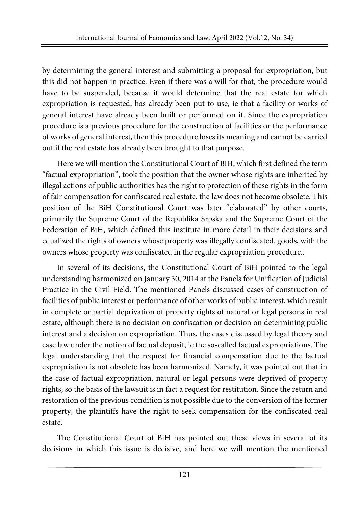by determining the general interest and submitting a proposal for expropriation, but this did not happen in practice. Even if there was a will for that, the procedure would have to be suspended, because it would determine that the real estate for which expropriation is requested, has already been put to use, ie that a facility or works of general interest have already been built or performed on it. Since the expropriation procedure is a previous procedure for the construction of facilities or the performance of works of general interest, then this procedure loses its meaning and cannot be carried out if the real estate has already been brought to that purpose.

Here we will mention the Constitutional Court of BiH, which first defined the term "factual expropriation", took the position that the owner whose rights are inherited by illegal actions of public authorities has the right to protection of these rights in the form of fair compensation for confiscated real estate. the law does not become obsolete. This position of the BiH Constitutional Court was later "elaborated" by other courts, primarily the Supreme Court of the Republika Srpska and the Supreme Court of the Federation of BiH, which defined this institute in more detail in their decisions and equalized the rights of owners whose property was illegally confiscated. goods, with the owners whose property was confiscated in the regular expropriation procedure..

In several of its decisions, the Constitutional Court of BiH pointed to the legal understanding harmonized on January 30, 2014 at the Panels for Unification of Judicial Practice in the Civil Field. The mentioned Panels discussed cases of construction of facilities of public interest or performance of other works of public interest, which result in complete or partial deprivation of property rights of natural or legal persons in real estate, although there is no decision on confiscation or decision on determining public interest and a decision on expropriation. Thus, the cases discussed by legal theory and case law under the notion of factual deposit, ie the so-called factual expropriations. The legal understanding that the request for financial compensation due to the factual expropriation is not obsolete has been harmonized. Namely, it was pointed out that in the case of factual expropriation, natural or legal persons were deprived of property rights, so the basis of the lawsuit is in fact a request for restitution. Since the return and restoration of the previous condition is not possible due to the conversion of the former property, the plaintiffs have the right to seek compensation for the confiscated real estate.

The Constitutional Court of BiH has pointed out these views in several of its decisions in which this issue is decisive, and here we will mention the mentioned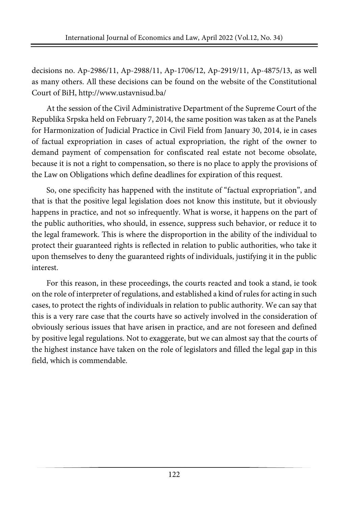decisions no. Ap-2986/11, Ap-2988/11, Ap-1706/12, Ap-2919/11, Ap-4875/13, as well as many others. All these decisions can be found on the website of the Constitutional Court of BiH, <http://www.ustavnisud.ba/>

At the session of the Civil Administrative Department of the Supreme Court of the Republika Srpska held on February 7, 2014, the same position was taken as at the Panels for Harmonization of Judicial Practice in Civil Field from January 30, 2014, ie in cases of factual expropriation in cases of actual expropriation, the right of the owner to demand payment of compensation for confiscated real estate not become obsolate, because it is not a right to compensation, so there is no place to apply the provisions of the Law on Obligations which define deadlines for expiration of this request.

So, one specificity has happened with the institute of "factual expropriation", and that is that the positive legal legislation does not know this institute, but it obviously happens in practice, and not so infrequently. What is worse, it happens on the part of the public authorities, who should, in essence, suppress such behavior, or reduce it to the legal framework. This is where the disproportion in the ability of the individual to protect their guaranteed rights is reflected in relation to public authorities, who take it upon themselves to deny the guaranteed rights of individuals, justifying it in the public interest.

For this reason, in these proceedings, the courts reacted and took a stand, ie took on the role of interpreter ofregulations, and established a kind ofrules for acting in such cases, to protect the rights of individuals in relation to public authority. We can say that this is a very rare case that the courts have so actively involved in the consideration of obviously serious issues that have arisen in practice, and are not foreseen and defined by positive legal regulations. Not to exaggerate, but we can almost say that the courts of the highest instance have taken on the role of legislators and filled the legal gap in this field, which is commendable.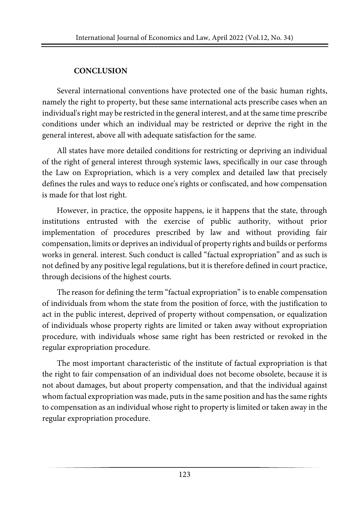### **CONCLUSION**

Several international conventions have protected one of the basic human rights, namely the right to property, but these same international acts prescribe cases when an individual's right may be restricted in the general interest, and at the same time prescribe conditions under which an individual may be restricted or deprive the right in the general interest, above all with adequate satisfaction for the same.

All states have more detailed conditions for restricting or depriving an individual of the right of general interest through systemic laws, specifically in our case through the Law on Expropriation, which is a very complex and detailed law that precisely defines the rules and ways to reduce one's rights or confiscated, and how compensation is made for that lost right.

However, in practice, the opposite happens, ie it happens that the state, through institutions entrusted with the exercise of public authority, without prior implementation of procedures prescribed by law and without providing fair compensation, limits or deprives an individual of property rights and builds or performs works in general. interest. Such conduct is called "factual expropriation" and as such is not defined by any positive legal regulations, but it is therefore defined in court practice, through decisions of the highest courts.

The reason for defining the term "factual expropriation" is to enable compensation of individuals from whom the state from the position of force, with the justification to act in the public interest, deprived of property without compensation, or equalization of individuals whose property rights are limited or taken away without expropriation procedure, with individuals whose same right has been restricted or revoked in the regular expropriation procedure.

The most important characteristic of the institute of factual expropriation is that the right to fair compensation of an individual does not become obsolete, because it is not about damages, but about property compensation, and that the individual against whom factual expropriation was made, puts in the same position and has the same rights to compensation as an individual whose right to property is limited or taken away in the regular expropriation procedure.